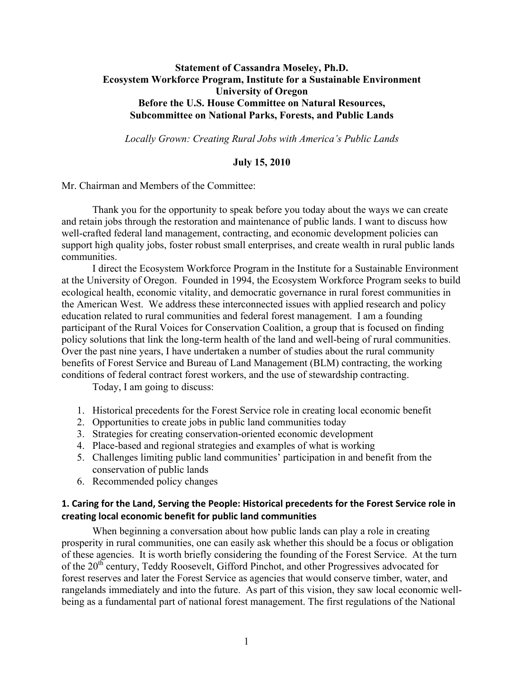# **Statement of Cassandra Moseley, Ph.D. Ecosystem Workforce Program, Institute for a Sustainable Environment University of Oregon Before the U.S. House Committee on Natural Resources, Subcommittee on National Parks, Forests, and Public Lands**

*Locally Grown: Creating Rural Jobs with America's Public Lands*

#### **July 15, 2010**

Mr. Chairman and Members of the Committee:

Thank you for the opportunity to speak before you today about the ways we can create and retain jobs through the restoration and maintenance of public lands. I want to discuss how well-crafted federal land management, contracting, and economic development policies can support high quality jobs, foster robust small enterprises, and create wealth in rural public lands communities.

I direct the Ecosystem Workforce Program in the Institute for a Sustainable Environment at the University of Oregon. Founded in 1994, the Ecosystem Workforce Program seeks to build ecological health, economic vitality, and democratic governance in rural forest communities in the American West. We address these interconnected issues with applied research and policy education related to rural communities and federal forest management. I am a founding participant of the Rural Voices for Conservation Coalition, a group that is focused on finding policy solutions that link the long-term health of the land and well-being of rural communities. Over the past nine years, I have undertaken a number of studies about the rural community benefits of Forest Service and Bureau of Land Management (BLM) contracting, the working conditions of federal contract forest workers, and the use of stewardship contracting.

Today, I am going to discuss:

- 1. Historical precedents for the Forest Service role in creating local economic benefit
- 2. Opportunities to create jobs in public land communities today
- 3. Strategies for creating conservation-oriented economic development
- 4. Place-based and regional strategies and examples of what is working
- 5. Challenges limiting public land communities' participation in and benefit from the conservation of public lands
- 6. Recommended policy changes

### **1. Caring for the Land, Serving the People: Historical precedents for the Forest Service role in creating local economic benefit for public land communities**

When beginning a conversation about how public lands can play a role in creating prosperity in rural communities, one can easily ask whether this should be a focus or obligation of these agencies. It is worth briefly considering the founding of the Forest Service. At the turn of the 20<sup>th</sup> century, Teddy Roosevelt, Gifford Pinchot, and other Progressives advocated for forest reserves and later the Forest Service as agencies that would conserve timber, water, and rangelands immediately and into the future. As part of this vision, they saw local economic wellbeing as a fundamental part of national forest management. The first regulations of the National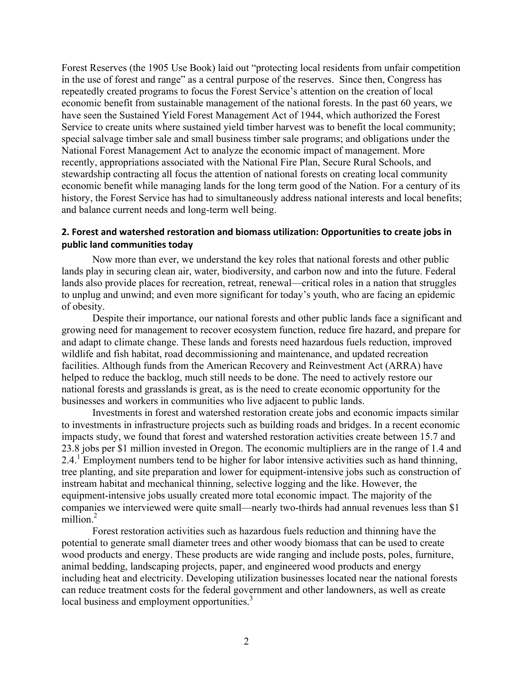Forest Reserves (the 1905 Use Book) laid out "protecting local residents from unfair competition in the use of forest and range" as a central purpose of the reserves. Since then, Congress has repeatedly created programs to focus the Forest Service's attention on the creation of local economic benefit from sustainable management of the national forests. In the past 60 years, we have seen the Sustained Yield Forest Management Act of 1944, which authorized the Forest Service to create units where sustained yield timber harvest was to benefit the local community; special salvage timber sale and small business timber sale programs; and obligations under the National Forest Management Act to analyze the economic impact of management. More recently, appropriations associated with the National Fire Plan, Secure Rural Schools, and stewardship contracting all focus the attention of national forests on creating local community economic benefit while managing lands for the long term good of the Nation. For a century of its history, the Forest Service has had to simultaneously address national interests and local benefits; and balance current needs and long-term well being.

### **2. Forest and watershed restoration and biomass utilization: Opportunities to create jobs in public land communities today**

Now more than ever, we understand the key roles that national forests and other public lands play in securing clean air, water, biodiversity, and carbon now and into the future. Federal lands also provide places for recreation, retreat, renewal—critical roles in a nation that struggles to unplug and unwind; and even more significant for today's youth, who are facing an epidemic of obesity.

Despite their importance, our national forests and other public lands face a significant and growing need for management to recover ecosystem function, reduce fire hazard, and prepare for and adapt to climate change. These lands and forests need hazardous fuels reduction, improved wildlife and fish habitat, road decommissioning and maintenance, and updated recreation facilities. Although funds from the American Recovery and Reinvestment Act (ARRA) have helped to reduce the backlog, much still needs to be done. The need to actively restore our national forests and grasslands is great, as is the need to create economic opportunity for the businesses and workers in communities who live adjacent to public lands.

Investments in forest and watershed restoration create jobs and economic impacts similar to investments in infrastructure projects such as building roads and bridges. In a recent economic impacts study, we found that forest and watershed restoration activities create between 15.7 and 23.8 jobs per \$1 million invested in Oregon. The economic multipliers are in the range of 1.4 and 2.4.<sup>1</sup> Employment numbers tend to be higher for labor intensive activities such as hand thinning, tree planting, and site preparation and lower for equipment-intensive jobs such as construction of instream habitat and mechanical thinning, selective logging and the like. However, the equipment-intensive jobs usually created more total economic impact. The majority of the companies we interviewed were quite small—nearly two-thirds had annual revenues less than \$1 million.<sup>2</sup>

Forest restoration activities such as hazardous fuels reduction and thinning have the potential to generate small diameter trees and other woody biomass that can be used to create wood products and energy. These products are wide ranging and include posts, poles, furniture, animal bedding, landscaping projects, paper, and engineered wood products and energy including heat and electricity. Developing utilization businesses located near the national forests can reduce treatment costs for the federal government and other landowners, as well as create local business and employment opportunities.<sup>3</sup>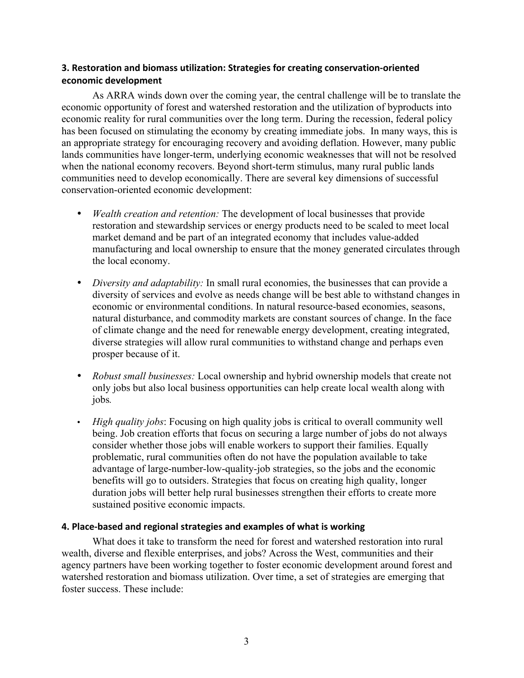# **3. Restoration and biomass utilization: Strategies for creating conservation‐oriented economic development**

As ARRA winds down over the coming year, the central challenge will be to translate the economic opportunity of forest and watershed restoration and the utilization of byproducts into economic reality for rural communities over the long term. During the recession, federal policy has been focused on stimulating the economy by creating immediate jobs. In many ways, this is an appropriate strategy for encouraging recovery and avoiding deflation. However, many public lands communities have longer-term, underlying economic weaknesses that will not be resolved when the national economy recovers. Beyond short-term stimulus, many rural public lands communities need to develop economically. There are several key dimensions of successful conservation-oriented economic development:

- *Wealth creation and retention:* The development of local businesses that provide restoration and stewardship services or energy products need to be scaled to meet local market demand and be part of an integrated economy that includes value-added manufacturing and local ownership to ensure that the money generated circulates through the local economy.
- *Diversity and adaptability:* In small rural economies, the businesses that can provide a diversity of services and evolve as needs change will be best able to withstand changes in economic or environmental conditions. In natural resource-based economies, seasons, natural disturbance, and commodity markets are constant sources of change. In the face of climate change and the need for renewable energy development, creating integrated, diverse strategies will allow rural communities to withstand change and perhaps even prosper because of it.
- *Robust small businesses:* Local ownership and hybrid ownership models that create not only jobs but also local business opportunities can help create local wealth along with jobs*.*
- *High quality jobs*: Focusing on high quality jobs is critical to overall community well being. Job creation efforts that focus on securing a large number of jobs do not always consider whether those jobs will enable workers to support their families. Equally problematic, rural communities often do not have the population available to take advantage of large-number-low-quality-job strategies, so the jobs and the economic benefits will go to outsiders. Strategies that focus on creating high quality, longer duration jobs will better help rural businesses strengthen their efforts to create more sustained positive economic impacts.

### **4. Place‐based and regional strategies and examples of what is working**

What does it take to transform the need for forest and watershed restoration into rural wealth, diverse and flexible enterprises, and jobs? Across the West, communities and their agency partners have been working together to foster economic development around forest and watershed restoration and biomass utilization. Over time, a set of strategies are emerging that foster success. These include: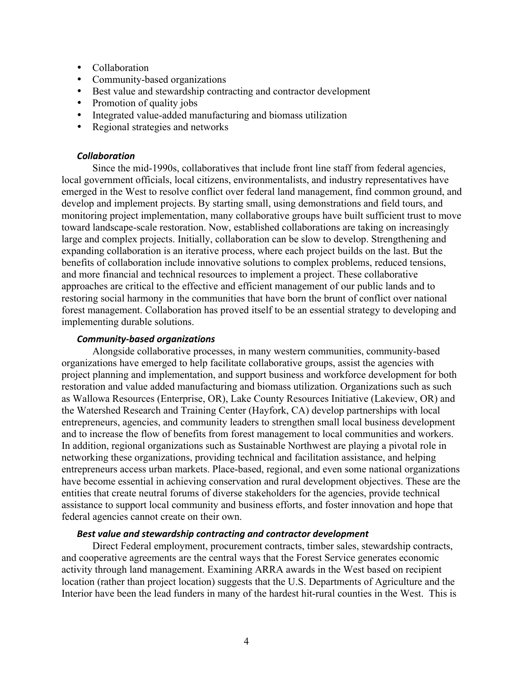- Collaboration
- Community-based organizations
- Best value and stewardship contracting and contractor development
- Promotion of quality jobs
- Integrated value-added manufacturing and biomass utilization
- Regional strategies and networks

#### *Collaboration*

Since the mid-1990s, collaboratives that include front line staff from federal agencies, local government officials, local citizens, environmentalists, and industry representatives have emerged in the West to resolve conflict over federal land management, find common ground, and develop and implement projects. By starting small, using demonstrations and field tours, and monitoring project implementation, many collaborative groups have built sufficient trust to move toward landscape-scale restoration. Now, established collaborations are taking on increasingly large and complex projects. Initially, collaboration can be slow to develop. Strengthening and expanding collaboration is an iterative process, where each project builds on the last. But the benefits of collaboration include innovative solutions to complex problems, reduced tensions, and more financial and technical resources to implement a project. These collaborative approaches are critical to the effective and efficient management of our public lands and to restoring social harmony in the communities that have born the brunt of conflict over national forest management. Collaboration has proved itself to be an essential strategy to developing and implementing durable solutions.

#### *Community‐based organizations*

Alongside collaborative processes, in many western communities, community-based organizations have emerged to help facilitate collaborative groups, assist the agencies with project planning and implementation, and support business and workforce development for both restoration and value added manufacturing and biomass utilization. Organizations such as such as Wallowa Resources (Enterprise, OR), Lake County Resources Initiative (Lakeview, OR) and the Watershed Research and Training Center (Hayfork, CA) develop partnerships with local entrepreneurs, agencies, and community leaders to strengthen small local business development and to increase the flow of benefits from forest management to local communities and workers. In addition, regional organizations such as Sustainable Northwest are playing a pivotal role in networking these organizations, providing technical and facilitation assistance, and helping entrepreneurs access urban markets. Place-based, regional, and even some national organizations have become essential in achieving conservation and rural development objectives. These are the entities that create neutral forums of diverse stakeholders for the agencies, provide technical assistance to support local community and business efforts, and foster innovation and hope that federal agencies cannot create on their own.

### *Best value and stewardship contracting and contractor development*

Direct Federal employment, procurement contracts, timber sales, stewardship contracts, and cooperative agreements are the central ways that the Forest Service generates economic activity through land management. Examining ARRA awards in the West based on recipient location (rather than project location) suggests that the U.S. Departments of Agriculture and the Interior have been the lead funders in many of the hardest hit-rural counties in the West. This is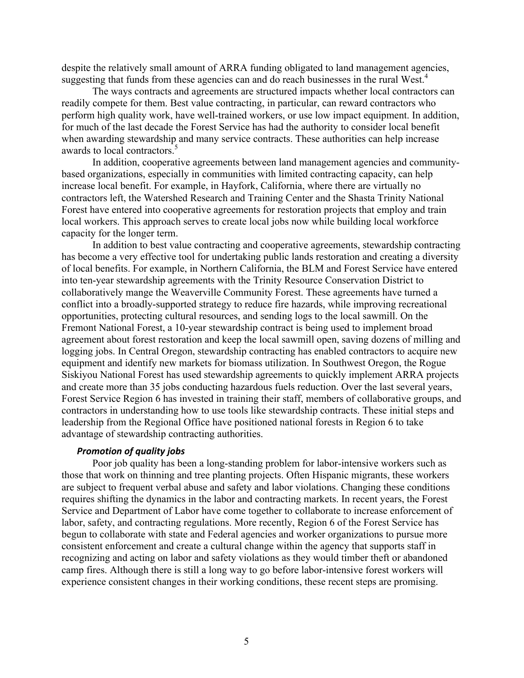despite the relatively small amount of ARRA funding obligated to land management agencies, suggesting that funds from these agencies can and do reach businesses in the rural West.<sup>4</sup>

The ways contracts and agreements are structured impacts whether local contractors can readily compete for them. Best value contracting, in particular, can reward contractors who perform high quality work, have well-trained workers, or use low impact equipment. In addition, for much of the last decade the Forest Service has had the authority to consider local benefit when awarding stewardship and many service contracts. These authorities can help increase awards to local contractors. 5

In addition, cooperative agreements between land management agencies and communitybased organizations, especially in communities with limited contracting capacity, can help increase local benefit. For example, in Hayfork, California, where there are virtually no contractors left, the Watershed Research and Training Center and the Shasta Trinity National Forest have entered into cooperative agreements for restoration projects that employ and train local workers. This approach serves to create local jobs now while building local workforce capacity for the longer term.

In addition to best value contracting and cooperative agreements, stewardship contracting has become a very effective tool for undertaking public lands restoration and creating a diversity of local benefits. For example, in Northern California, the BLM and Forest Service have entered into ten-year stewardship agreements with the Trinity Resource Conservation District to collaboratively mange the Weaverville Community Forest. These agreements have turned a conflict into a broadly-supported strategy to reduce fire hazards, while improving recreational opportunities, protecting cultural resources, and sending logs to the local sawmill. On the Fremont National Forest, a 10-year stewardship contract is being used to implement broad agreement about forest restoration and keep the local sawmill open, saving dozens of milling and logging jobs. In Central Oregon, stewardship contracting has enabled contractors to acquire new equipment and identify new markets for biomass utilization. In Southwest Oregon, the Rogue Siskiyou National Forest has used stewardship agreements to quickly implement ARRA projects and create more than 35 jobs conducting hazardous fuels reduction. Over the last several years, Forest Service Region 6 has invested in training their staff, members of collaborative groups, and contractors in understanding how to use tools like stewardship contracts. These initial steps and leadership from the Regional Office have positioned national forests in Region 6 to take advantage of stewardship contracting authorities.

#### *Promotion of quality jobs*

Poor job quality has been a long-standing problem for labor-intensive workers such as those that work on thinning and tree planting projects. Often Hispanic migrants, these workers are subject to frequent verbal abuse and safety and labor violations. Changing these conditions requires shifting the dynamics in the labor and contracting markets. In recent years, the Forest Service and Department of Labor have come together to collaborate to increase enforcement of labor, safety, and contracting regulations. More recently, Region 6 of the Forest Service has begun to collaborate with state and Federal agencies and worker organizations to pursue more consistent enforcement and create a cultural change within the agency that supports staff in recognizing and acting on labor and safety violations as they would timber theft or abandoned camp fires. Although there is still a long way to go before labor-intensive forest workers will experience consistent changes in their working conditions, these recent steps are promising.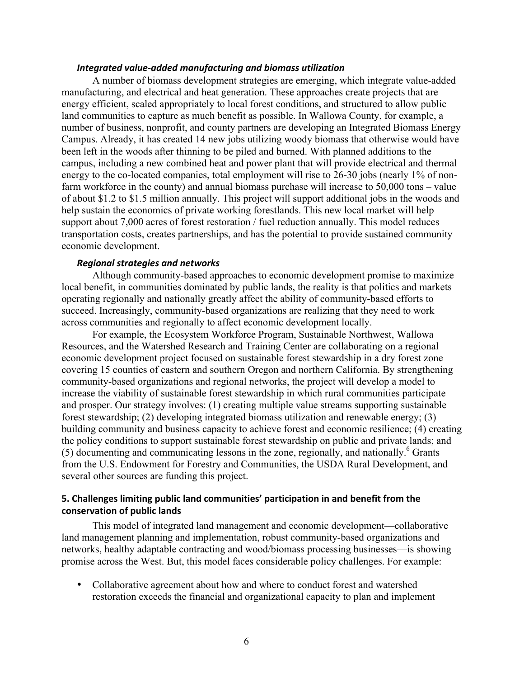#### *Integrated value‐added manufacturing and biomass utilization*

A number of biomass development strategies are emerging, which integrate value-added manufacturing, and electrical and heat generation. These approaches create projects that are energy efficient, scaled appropriately to local forest conditions, and structured to allow public land communities to capture as much benefit as possible. In Wallowa County, for example, a number of business, nonprofit, and county partners are developing an Integrated Biomass Energy Campus. Already, it has created 14 new jobs utilizing woody biomass that otherwise would have been left in the woods after thinning to be piled and burned. With planned additions to the campus, including a new combined heat and power plant that will provide electrical and thermal energy to the co-located companies, total employment will rise to 26-30 jobs (nearly 1% of nonfarm workforce in the county) and annual biomass purchase will increase to 50,000 tons – value of about \$1.2 to \$1.5 million annually. This project will support additional jobs in the woods and help sustain the economics of private working forestlands. This new local market will help support about 7,000 acres of forest restoration / fuel reduction annually. This model reduces transportation costs, creates partnerships, and has the potential to provide sustained community economic development.

#### *Regional strategies and networks*

Although community-based approaches to economic development promise to maximize local benefit, in communities dominated by public lands, the reality is that politics and markets operating regionally and nationally greatly affect the ability of community-based efforts to succeed. Increasingly, community-based organizations are realizing that they need to work across communities and regionally to affect economic development locally.

For example, the Ecosystem Workforce Program, Sustainable Northwest, Wallowa Resources, and the Watershed Research and Training Center are collaborating on a regional economic development project focused on sustainable forest stewardship in a dry forest zone covering 15 counties of eastern and southern Oregon and northern California. By strengthening community-based organizations and regional networks, the project will develop a model to increase the viability of sustainable forest stewardship in which rural communities participate and prosper. Our strategy involves: (1) creating multiple value streams supporting sustainable forest stewardship; (2) developing integrated biomass utilization and renewable energy; (3) building community and business capacity to achieve forest and economic resilience; (4) creating the policy conditions to support sustainable forest stewardship on public and private lands; and (5) documenting and communicating lessons in the zone, regionally, and nationally. <sup>6</sup> Grants from the U.S. Endowment for Forestry and Communities, the USDA Rural Development, and several other sources are funding this project.

### **5. Challenges limiting public land communities' participation in and benefit from the conservation of public lands**

This model of integrated land management and economic development—collaborative land management planning and implementation, robust community-based organizations and networks, healthy adaptable contracting and wood/biomass processing businesses—is showing promise across the West. But, this model faces considerable policy challenges. For example:

• Collaborative agreement about how and where to conduct forest and watershed restoration exceeds the financial and organizational capacity to plan and implement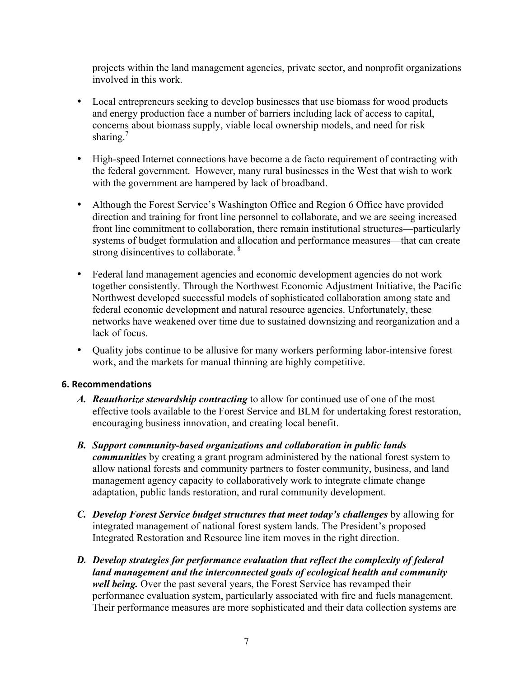projects within the land management agencies, private sector, and nonprofit organizations involved in this work.

- Local entrepreneurs seeking to develop businesses that use biomass for wood products and energy production face a number of barriers including lack of access to capital, concerns about biomass supply, viable local ownership models, and need for risk sharing.<sup>7</sup>
- High-speed Internet connections have become a de facto requirement of contracting with the federal government. However, many rural businesses in the West that wish to work with the government are hampered by lack of broadband.
- Although the Forest Service's Washington Office and Region 6 Office have provided direction and training for front line personnel to collaborate, and we are seeing increased front line commitment to collaboration, there remain institutional structures—particularly systems of budget formulation and allocation and performance measures—that can create strong disincentives to collaborate.<sup>8</sup>
- Federal land management agencies and economic development agencies do not work together consistently. Through the Northwest Economic Adjustment Initiative, the Pacific Northwest developed successful models of sophisticated collaboration among state and federal economic development and natural resource agencies. Unfortunately, these networks have weakened over time due to sustained downsizing and reorganization and a lack of focus.
- Quality jobs continue to be allusive for many workers performing labor-intensive forest work, and the markets for manual thinning are highly competitive.

### **6. Recommendations**

- *A. Reauthorize stewardship contracting* to allow for continued use of one of the most effective tools available to the Forest Service and BLM for undertaking forest restoration, encouraging business innovation, and creating local benefit.
- *B. Support community-based organizations and collaboration in public lands communities* by creating a grant program administered by the national forest system to allow national forests and community partners to foster community, business, and land management agency capacity to collaboratively work to integrate climate change adaptation, public lands restoration, and rural community development.
- *C. Develop Forest Service budget structures that meet today's challenges* by allowing for integrated management of national forest system lands. The President's proposed Integrated Restoration and Resource line item moves in the right direction.
- *D. Develop strategies for performance evaluation that reflect the complexity of federal land management and the interconnected goals of ecological health and community well being.* Over the past several years, the Forest Service has revamped their performance evaluation system, particularly associated with fire and fuels management. Their performance measures are more sophisticated and their data collection systems are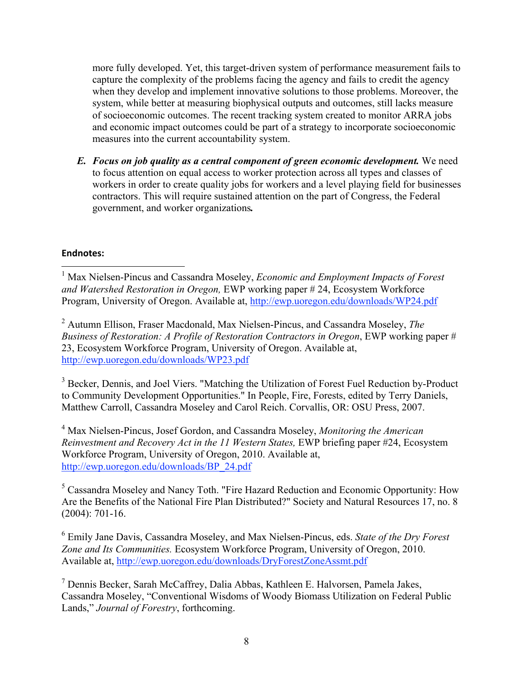more fully developed. Yet, this target-driven system of performance measurement fails to capture the complexity of the problems facing the agency and fails to credit the agency when they develop and implement innovative solutions to those problems. Moreover, the system, while better at measuring biophysical outputs and outcomes, still lacks measure of socioeconomic outcomes. The recent tracking system created to monitor ARRA jobs and economic impact outcomes could be part of a strategy to incorporate socioeconomic measures into the current accountability system.

*E. Focus on job quality as a central component of green economic development.* We need to focus attention on equal access to worker protection across all types and classes of workers in order to create quality jobs for workers and a level playing field for businesses contractors. This will require sustained attention on the part of Congress, the Federal government, and worker organizations*.* 

## **Endnotes:**

 1 Max Nielsen-Pincus and Cassandra Moseley, *Economic and Employment Impacts of Forest and Watershed Restoration in Oregon,* EWP working paper # 24, Ecosystem Workforce Program, University of Oregon. Available at, http://ewp.uoregon.edu/downloads/WP24.pdf

2 Autumn Ellison, Fraser Macdonald, Max Nielsen-Pincus, and Cassandra Moseley, *The Business of Restoration: A Profile of Restoration Contractors in Oregon*, EWP working paper # 23, Ecosystem Workforce Program, University of Oregon. Available at, http://ewp.uoregon.edu/downloads/WP23.pdf

<sup>3</sup> Becker, Dennis, and Joel Viers. "Matching the Utilization of Forest Fuel Reduction by-Product to Community Development Opportunities." In People, Fire, Forests, edited by Terry Daniels, Matthew Carroll, Cassandra Moseley and Carol Reich. Corvallis, OR: OSU Press, 2007.

4 Max Nielsen-Pincus, Josef Gordon, and Cassandra Moseley, *Monitoring the American Reinvestment and Recovery Act in the 11 Western States,* EWP briefing paper #24, Ecosystem Workforce Program, University of Oregon, 2010. Available at, http://ewp.uoregon.edu/downloads/BP\_24.pdf

<sup>5</sup> Cassandra Moseley and Nancy Toth. "Fire Hazard Reduction and Economic Opportunity: How Are the Benefits of the National Fire Plan Distributed?" Society and Natural Resources 17, no. 8 (2004): 701-16.

6 Emily Jane Davis, Cassandra Moseley, and Max Nielsen-Pincus, eds. *State of the Dry Forest Zone and Its Communities.* Ecosystem Workforce Program, University of Oregon, 2010. Available at, http://ewp.uoregon.edu/downloads/DryForestZoneAssmt.pdf

7 Dennis Becker, Sarah McCaffrey, Dalia Abbas, Kathleen E. Halvorsen, Pamela Jakes, Cassandra Moseley, "Conventional Wisdoms of Woody Biomass Utilization on Federal Public Lands," *Journal of Forestry*, forthcoming.